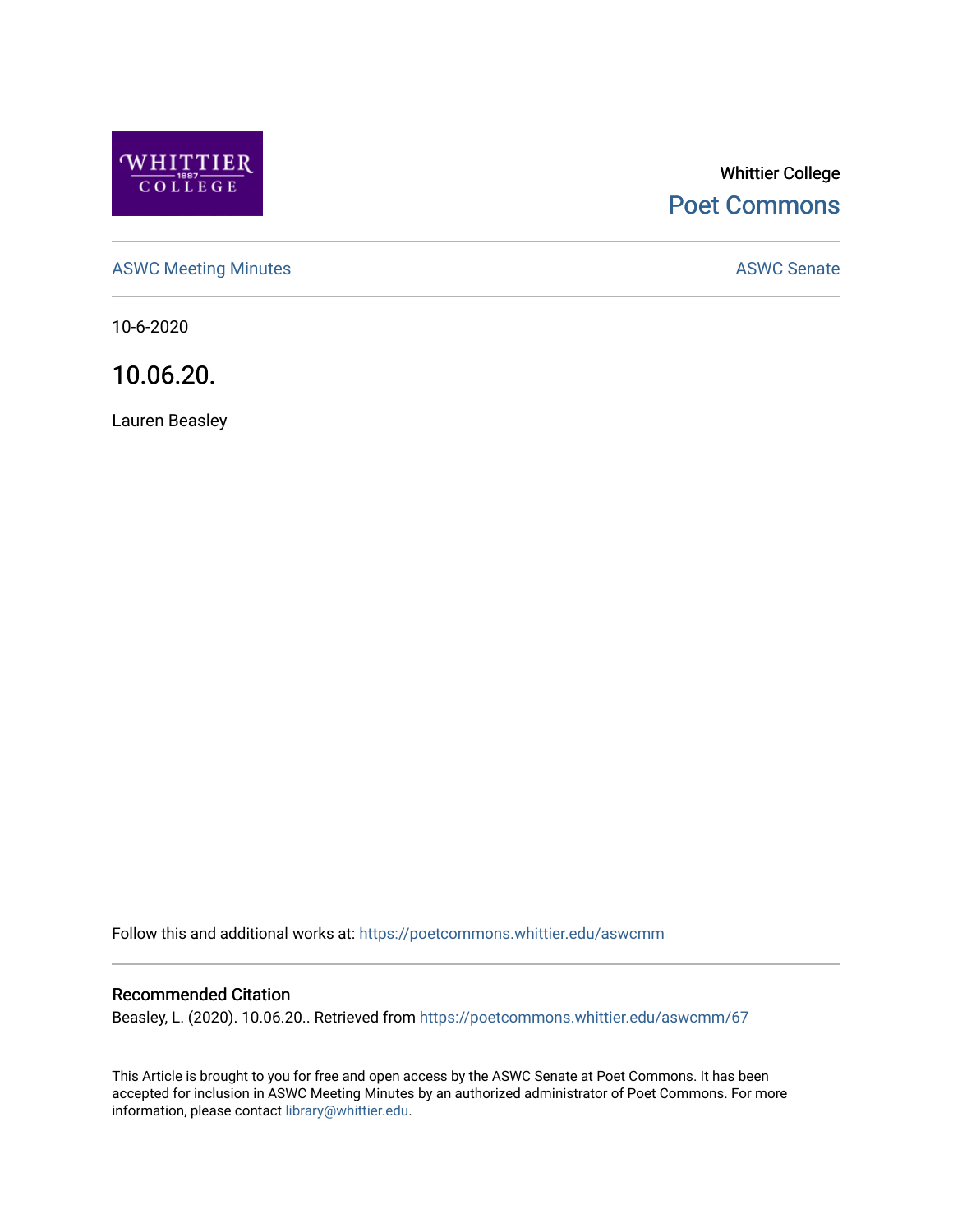

# Whittier College [Poet Commons](https://poetcommons.whittier.edu/)

[ASWC Meeting Minutes](https://poetcommons.whittier.edu/aswcmm) **ASWC Senate** 

10-6-2020

10.06.20.

Lauren Beasley

Follow this and additional works at: [https://poetcommons.whittier.edu/aswcmm](https://poetcommons.whittier.edu/aswcmm?utm_source=poetcommons.whittier.edu%2Faswcmm%2F67&utm_medium=PDF&utm_campaign=PDFCoverPages)

#### Recommended Citation

Beasley, L. (2020). 10.06.20.. Retrieved from [https://poetcommons.whittier.edu/aswcmm/67](https://poetcommons.whittier.edu/aswcmm/67?utm_source=poetcommons.whittier.edu%2Faswcmm%2F67&utm_medium=PDF&utm_campaign=PDFCoverPages)

This Article is brought to you for free and open access by the ASWC Senate at Poet Commons. It has been accepted for inclusion in ASWC Meeting Minutes by an authorized administrator of Poet Commons. For more information, please contact [library@whittier.edu.](mailto:library@whittier.edu)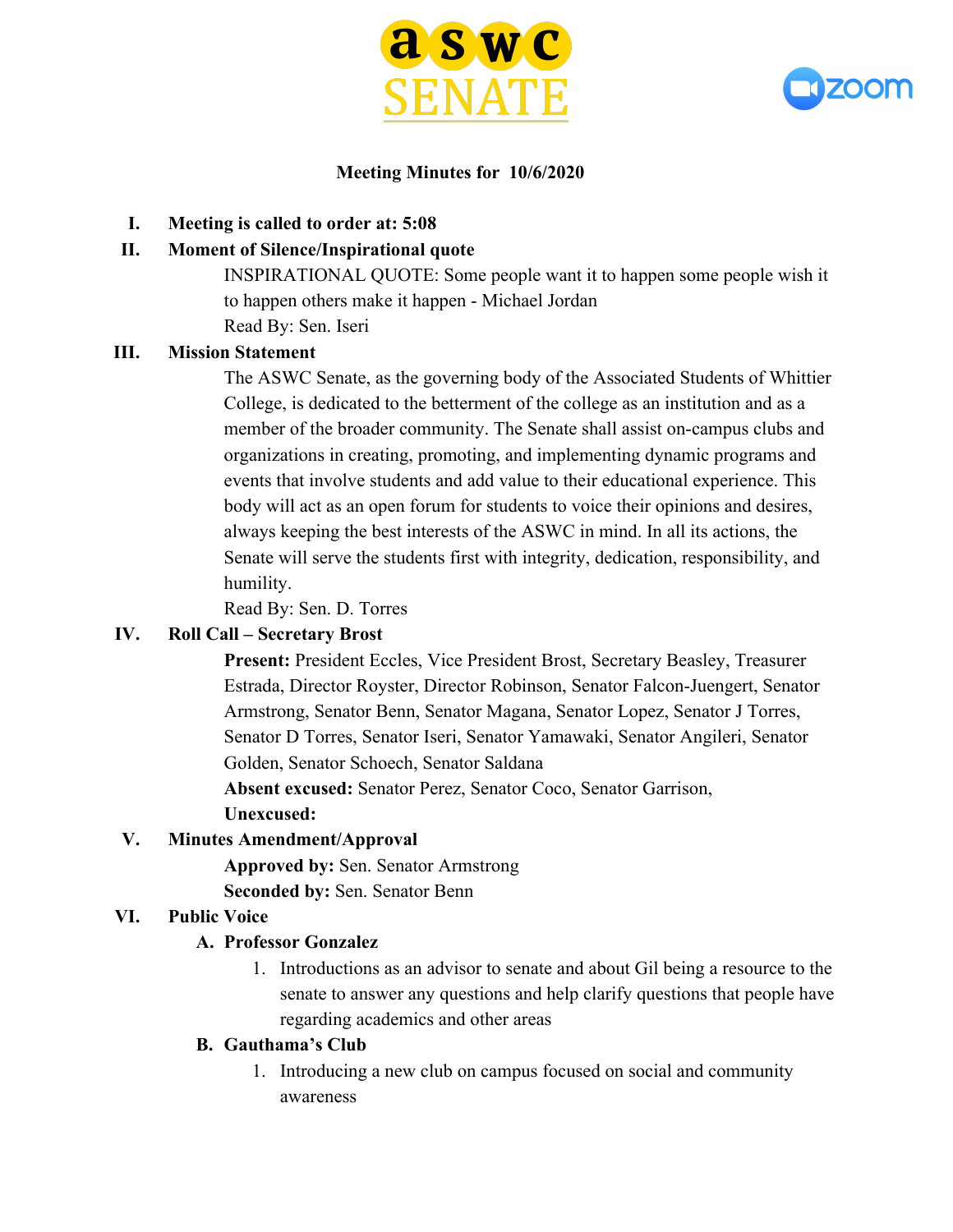



## **Meeting Minutes for 10/6/2020**

**I. Meeting is called to order at: 5:08**

# **II. Moment of Silence/Inspirational quote**

INSPIRATIONAL QUOTE: Some people want it to happen some people wish it to happen others make it happen - Michael Jordan Read By: Sen. Iseri

# **III. Mission Statement**

The ASWC Senate, as the governing body of the Associated Students of Whittier College, is dedicated to the betterment of the college as an institution and as a member of the broader community. The Senate shall assist on-campus clubs and organizations in creating, promoting, and implementing dynamic programs and events that involve students and add value to their educational experience. This body will act as an open forum for students to voice their opinions and desires, always keeping the best interests of the ASWC in mind. In all its actions, the Senate will serve the students first with integrity, dedication, responsibility, and humility.

Read By: Sen. D. Torres

# **IV. Roll Call – Secretary Brost**

**Present:** President Eccles, Vice President Brost, Secretary Beasley, Treasurer Estrada, Director Royster, Director Robinson, Senator Falcon-Juengert, Senator Armstrong, Senator Benn, Senator Magana, Senator Lopez, Senator J Torres, Senator D Torres, Senator Iseri, Senator Yamawaki, Senator Angileri, Senator Golden, Senator Schoech, Senator Saldana

**Absent excused:** Senator Perez, Senator Coco, Senator Garrison,

**Unexcused:**

# **V. Minutes Amendment/Approval**

**Approved by:** Sen. Senator Armstrong **Seconded by:** Sen. Senator Benn

# **VI. Public Voice**

## **A. Professor Gonzalez**

1. Introductions as an advisor to senate and about Gil being a resource to the senate to answer any questions and help clarify questions that people have regarding academics and other areas

## **B. Gauthama's Club**

1. Introducing a new club on campus focused on social and community awareness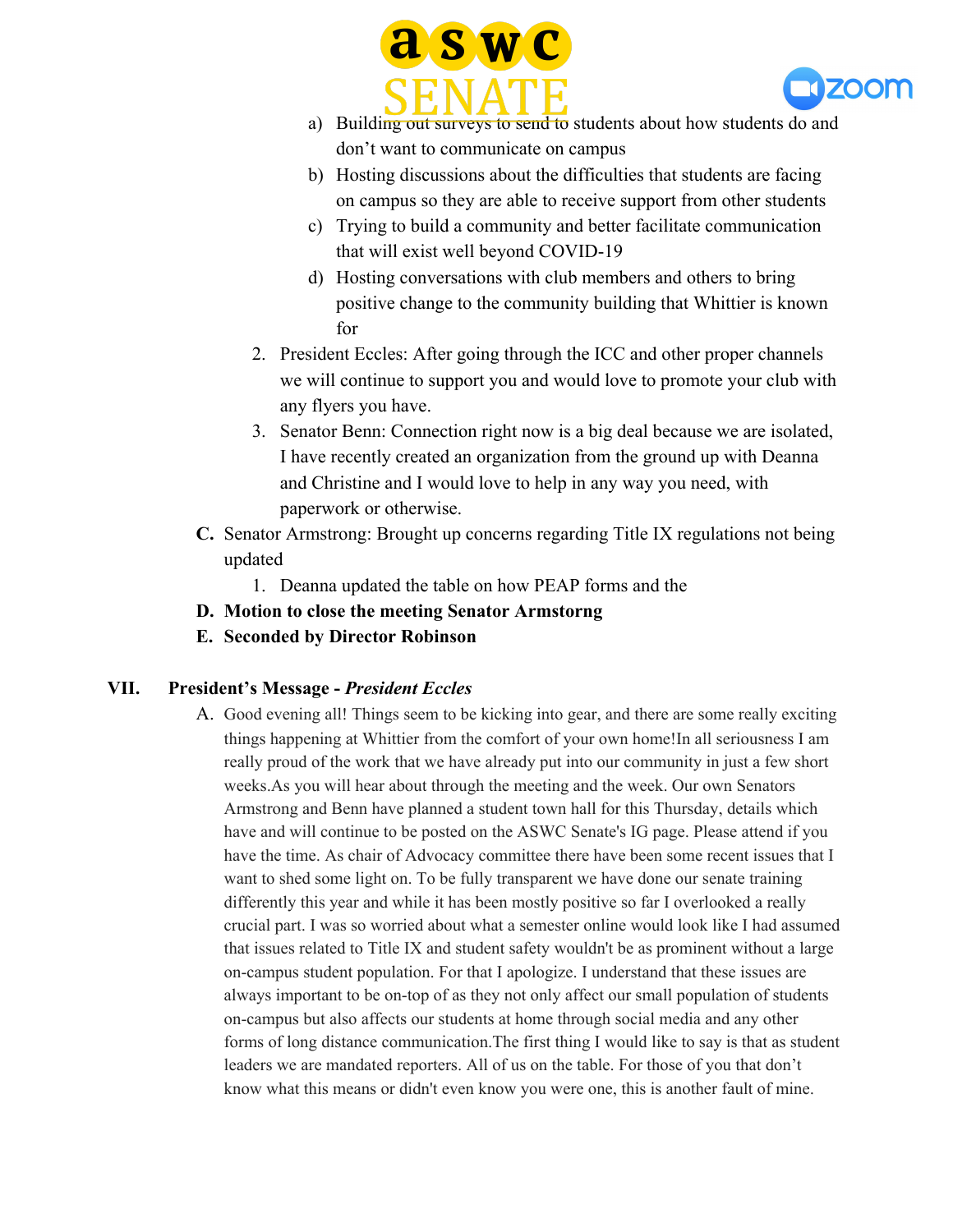



- a) Building out surveys to send to students about how students do and don't want to communicate on campus
- b) Hosting discussions about the difficulties that students are facing on campus so they are able to receive support from other students
- c) Trying to build a community and better facilitate communication that will exist well beyond COVID-19
- d) Hosting conversations with club members and others to bring positive change to the community building that Whittier is known for
- 2. President Eccles: After going through the ICC and other proper channels we will continue to support you and would love to promote your club with any flyers you have.
- 3. Senator Benn: Connection right now is a big deal because we are isolated, I have recently created an organization from the ground up with Deanna and Christine and I would love to help in any way you need, with paperwork or otherwise.
- **C.** Senator Armstrong: Brought up concerns regarding Title IX regulations not being updated
	- 1. Deanna updated the table on how PEAP forms and the
- **D. Motion to close the meeting Senator Armstorng**
- **E. Seconded by Director Robinson**

# **VII. President's Message -** *President Eccles*

A. Good evening all! Things seem to be kicking into gear, and there are some really exciting things happening at Whittier from the comfort of your own home!In all seriousness I am really proud of the work that we have already put into our community in just a few short weeks.As you will hear about through the meeting and the week. Our own Senators Armstrong and Benn have planned a student town hall for this Thursday, details which have and will continue to be posted on the ASWC Senate's IG page. Please attend if you have the time. As chair of Advocacy committee there have been some recent issues that I want to shed some light on. To be fully transparent we have done our senate training differently this year and while it has been mostly positive so far I overlooked a really crucial part. I was so worried about what a semester online would look like I had assumed that issues related to Title IX and student safety wouldn't be as prominent without a large on-campus student population. For that I apologize. I understand that these issues are always important to be on-top of as they not only affect our small population of students on-campus but also affects our students at home through social media and any other forms of long distance communication.The first thing I would like to say is that as student leaders we are mandated reporters. All of us on the table. For those of you that don't know what this means or didn't even know you were one, this is another fault of mine.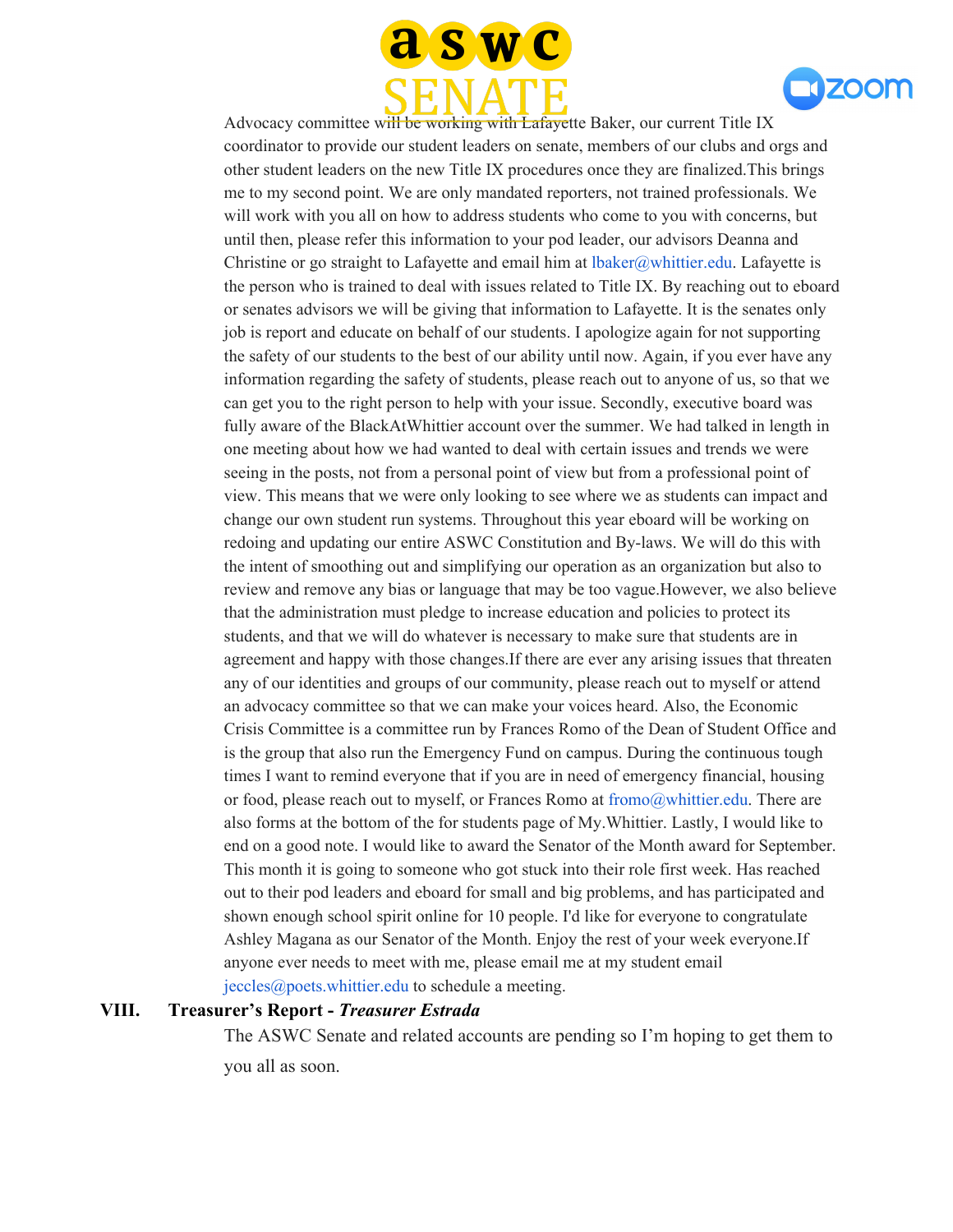



Advocacy committee will be working with Lafayette Baker, our current Title IX coordinator to provide our student leaders on senate, members of our clubs and orgs and other student leaders on the new Title IX procedures once they are finalized.This brings me to my second point. We are only mandated reporters, not trained professionals. We will work with you all on how to address students who come to you with concerns, but until then, please refer this information to your pod leader, our advisors Deanna and Christine or go straight to Lafayette and email him at  $\text{lbaker}(\partial_t w)$ hittier.edu. Lafayette is the person who is trained to deal with issues related to Title IX. By reaching out to eboard or senates advisors we will be giving that information to Lafayette. It is the senates only job is report and educate on behalf of our students. I apologize again for not supporting the safety of our students to the best of our ability until now. Again, if you ever have any information regarding the safety of students, please reach out to anyone of us, so that we can get you to the right person to help with your issue. Secondly, executive board was fully aware of the BlackAtWhittier account over the summer. We had talked in length in one meeting about how we had wanted to deal with certain issues and trends we were seeing in the posts, not from a personal point of view but from a professional point of view. This means that we were only looking to see where we as students can impact and change our own student run systems. Throughout this year eboard will be working on redoing and updating our entire ASWC Constitution and By-laws. We will do this with the intent of smoothing out and simplifying our operation as an organization but also to review and remove any bias or language that may be too vague.However, we also believe that the administration must pledge to increase education and policies to protect its students, and that we will do whatever is necessary to make sure that students are in agreement and happy with those changes.If there are ever any arising issues that threaten any of our identities and groups of our community, please reach out to myself or attend an advocacy committee so that we can make your voices heard. Also, the Economic Crisis Committee is a committee run by Frances Romo of the Dean of Student Office and is the group that also run the Emergency Fund on campus. During the continuous tough times I want to remind everyone that if you are in need of emergency financial, housing or food, please reach out to myself, or Frances Romo at fromo $@$ whittier.edu. There are also forms at the bottom of the for students page of My.Whittier. Lastly, I would like to end on a good note. I would like to award the Senator of the Month award for September. This month it is going to someone who got stuck into their role first week. Has reached out to their pod leaders and eboard for small and big problems, and has participated and shown enough school spirit online for 10 people. I'd like for everyone to congratulate Ashley Magana as our Senator of the Month. Enjoy the rest of your week everyone.If anyone ever needs to meet with me, please email me at my student email jeccles@poets.whittier.edu to schedule a meeting.

#### **VIII. Treasurer's Report -** *Treasurer Estrada*

The ASWC Senate and related accounts are pending so I'm hoping to get them to you all as soon.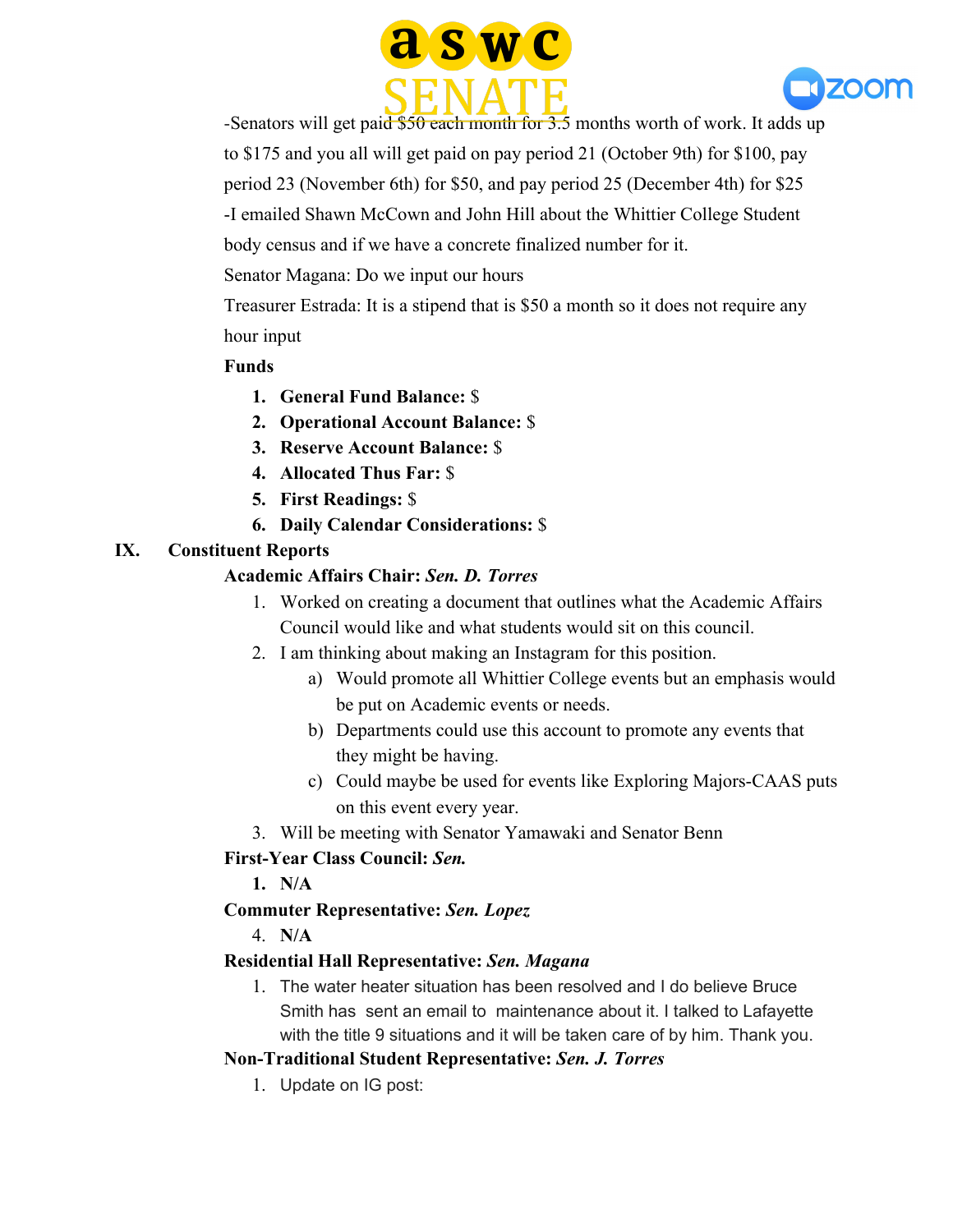



-Senators will get paid  $$50$  each month for 3.5 months worth of work. It adds up to \$175 and you all will get paid on pay period 21 (October 9th) for \$100, pay period 23 (November 6th) for \$50, and pay period 25 (December 4th) for \$25 -I emailed Shawn McCown and John Hill about the Whittier College Student body census and if we have a concrete finalized number for it.

Senator Magana: Do we input our hours

Treasurer Estrada: It is a stipend that is \$50 a month so it does not require any hour input

## **Funds**

- **1. General Fund Balance:** \$
- **2. Operational Account Balance:** \$
- **3. Reserve Account Balance:** \$
- **4. Allocated Thus Far:** \$
- **5. First Readings:** \$
- **6. Daily Calendar Considerations:** \$

# **IX. Constituent Reports**

# **Academic Affairs Chair:** *Sen. D. Torres*

- 1. Worked on creating a document that outlines what the Academic Affairs Council would like and what students would sit on this council.
- 2. I am thinking about making an Instagram for this position.
	- a) Would promote all Whittier College events but an emphasis would be put on Academic events or needs.
	- b) Departments could use this account to promote any events that they might be having.
	- c) Could maybe be used for events like Exploring Majors-CAAS puts on this event every year.
- 3. Will be meeting with Senator Yamawaki and Senator Benn

## **First-Year Class Council:** *Sen.*

**1. N/A**

# **Commuter Representative:** *Sen. Lopez*

4. **N/A**

## **Residential Hall Representative:** *Sen. Magana*

1. The water heater situation has been resolved and I do believe Bruce Smith has sent an email to maintenance about it. I talked to Lafayette with the title 9 situations and it will be taken care of by him. Thank you.

## **Non-Traditional Student Representative:** *Sen. J. Torres*

1. Update on IG post: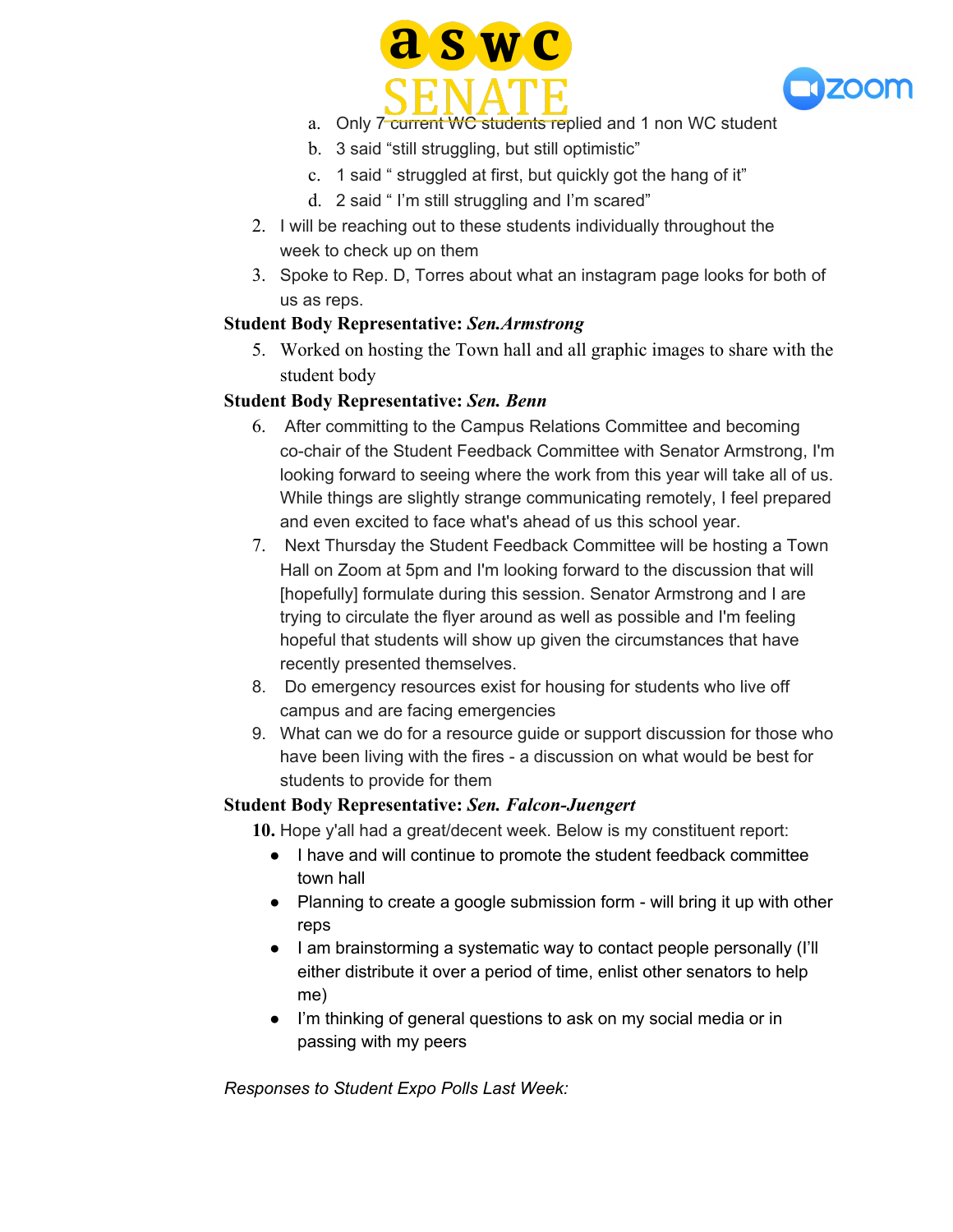



- a. Only 7 current WC students replied and 1 non WC student
- b. 3 said "still struggling, but still optimistic"
- c. 1 said " struggled at first, but quickly got the hang of it"
- d. 2 said " I'm still struggling and I'm scared"
- 2. I will be reaching out to these students individually throughout the week to check up on them
- 3. Spoke to Rep. D, Torres about what an instagram page looks for both of us as reps.

# **Student Body Representative:** *Sen.Armstrong*

5. Worked on hosting the Town hall and all graphic images to share with the student body

# **Student Body Representative:** *Sen. Benn*

- 6. After committing to the Campus Relations Committee and becoming co-chair of the Student Feedback Committee with Senator Armstrong, I'm looking forward to seeing where the work from this year will take all of us. While things are slightly strange communicating remotely, I feel prepared and even excited to face what's ahead of us this school year.
- 7. Next Thursday the Student Feedback Committee will be hosting a Town Hall on Zoom at 5pm and I'm looking forward to the discussion that will [hopefully] formulate during this session. Senator Armstrong and I are trying to circulate the flyer around as well as possible and I'm feeling hopeful that students will show up given the circumstances that have recently presented themselves.
- 8. Do emergency resources exist for housing for students who live off campus and are facing emergencies
- 9. What can we do for a resource guide or support discussion for those who have been living with the fires - a discussion on what would be best for students to provide for them

# **Student Body Representative:** *Sen. Falcon-Juengert*

**10.** Hope y'all had a great/decent week. Below is my constituent report:

- I have and will continue to promote the student feedback committee town hall
- Planning to create a google submission form will bring it up with other reps
- I am brainstorming a systematic way to contact people personally (I'll either distribute it over a period of time, enlist other senators to help me)
- I'm thinking of general questions to ask on my social media or in passing with my peers

*Responses to Student Expo Polls Last Week:*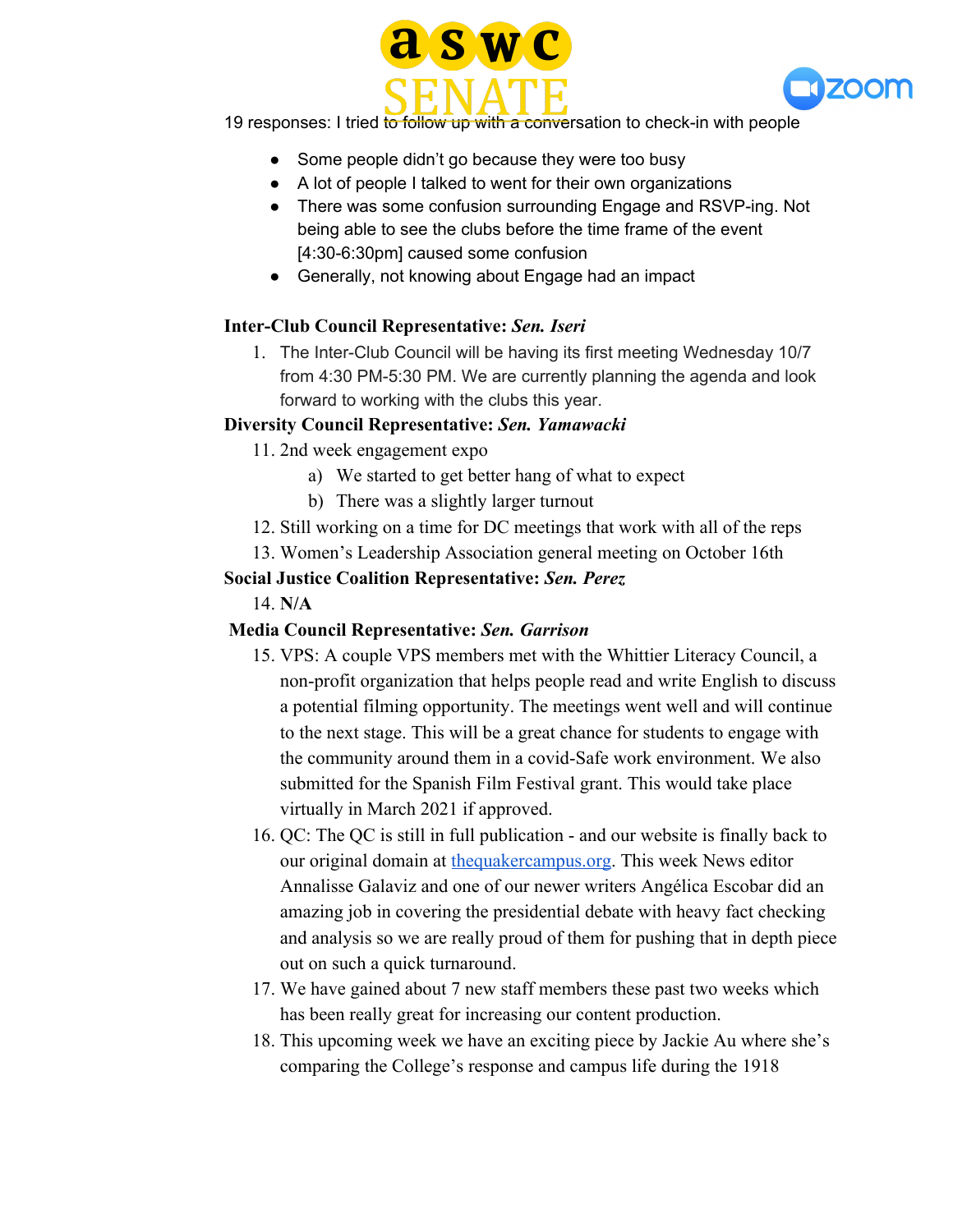



19 responses: I tried to follow up with a conversation to check-in with people

- Some people didn't go because they were too busy
- A lot of people I talked to went for their own organizations
- There was some confusion surrounding Engage and RSVP-ing. Not being able to see the clubs before the time frame of the event [4:30-6:30pm] caused some confusion
- Generally, not knowing about Engage had an impact

# **Inter-Club Council Representative:** *Sen. Iseri*

1. The Inter-Club Council will be having its first meeting Wednesday 10/7 from 4:30 PM-5:30 PM. We are currently planning the agenda and look forward to working with the clubs this year.

# **Diversity Council Representative:** *Sen. Yamawacki*

- 11. 2nd week engagement expo
	- a) We started to get better hang of what to expect
	- b) There was a slightly larger turnout
- 12. Still working on a time for DC meetings that work with all of the reps
- 13. Women's Leadership Association general meeting on October 16th

# **Social Justice Coalition Representative:** *Sen. Perez*

14. **N/A**

# **Media Council Representative:** *Sen. Garrison*

- 15. VPS: A couple VPS members met with the Whittier Literacy Council, a non-profit organization that helps people read and write English to discuss a potential filming opportunity. The meetings went well and will continue to the next stage. This will be a great chance for students to engage with the community around them in a covid-Safe work environment. We also submitted for the Spanish Film Festival grant. This would take place virtually in March 2021 if approved.
- 16. QC: The QC is still in full publication and our website is finally back to our original domain at [thequakercampus.org.](http://thequakercampus.org/) This week News editor Annalisse Galaviz and one of our newer writers Angélica Escobar did an amazing job in covering the presidential debate with heavy fact checking and analysis so we are really proud of them for pushing that in depth piece out on such a quick turnaround.
- 17. We have gained about 7 new staff members these past two weeks which has been really great for increasing our content production.
- 18. This upcoming week we have an exciting piece by Jackie Au where she's comparing the College's response and campus life during the 1918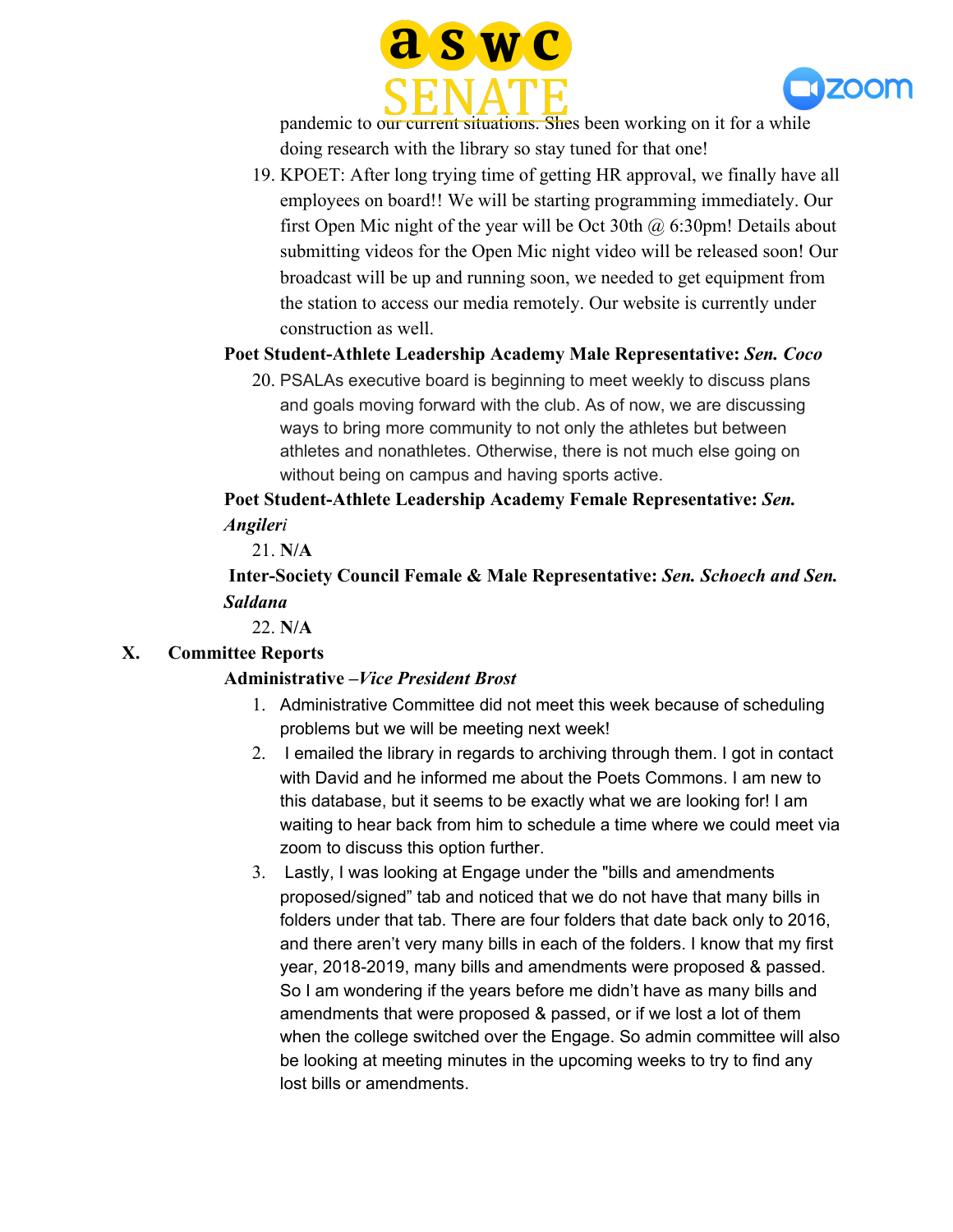



pandemic to our current situations. Shes been working on it for a while doing research with the library so stay tuned for that one!

19. KPOET: After long trying time of getting HR approval, we finally have all employees on board!! We will be starting programming immediately. Our first Open Mic night of the year will be Oct 30th  $\omega$  6:30pm! Details about submitting videos for the Open Mic night video will be released soon! Our broadcast will be up and running soon, we needed to get equipment from the station to access our media remotely. Our website is currently under construction as well.

# **Poet Student-Athlete Leadership Academy Male Representative:** *Sen. Coco*

20. PSALAs executive board is beginning to meet weekly to discuss plans and goals moving forward with the club. As of now, we are discussing ways to bring more community to not only the athletes but between athletes and nonathletes. Otherwise, there is not much else going on without being on campus and having sports active.

**Poet Student-Athlete Leadership Academy Female Representative:** *Sen. Angileri*

21. **N/A**

 **Inter-Society Council Female & Male Representative:** *Sen. Schoech and Sen. Saldana*

22. **N/A**

## **X. Committee Reports**

## **Administrative –***Vice President Brost*

- 1. Administrative Committee did not meet this week because of scheduling problems but we will be meeting next week!
- 2. I emailed the library in regards to archiving through them. I got in contact with David and he informed me about the Poets Commons. I am new to this database, but it seems to be exactly what we are looking for! I am waiting to hear back from him to schedule a time where we could meet via zoom to discuss this option further.
- 3. Lastly, I was looking at Engage under the "bills and amendments proposed/signed" tab and noticed that we do not have that many bills in folders under that tab. There are four folders that date back only to 2016, and there aren't very many bills in each of the folders. I know that my first year, 2018-2019, many bills and amendments were proposed & passed. So I am wondering if the years before me didn't have as many bills and amendments that were proposed & passed, or if we lost a lot of them when the college switched over the Engage. So admin committee will also be looking at meeting minutes in the upcoming weeks to try to find any lost bills or amendments.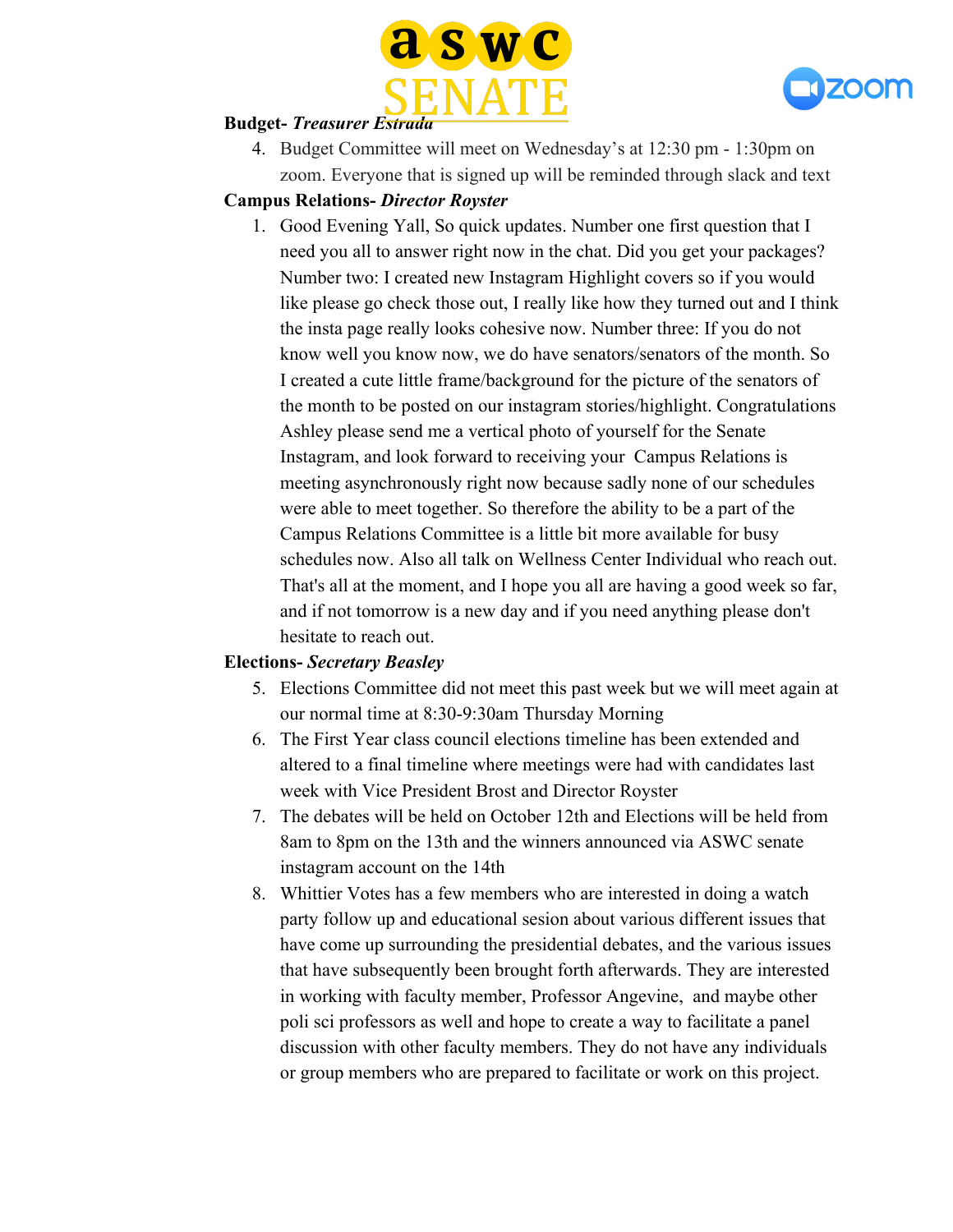



#### **Budget-** *Treasurer Estrada*

4. Budget Committee will meet on Wednesday's at 12:30 pm - 1:30pm on zoom. Everyone that is signed up will be reminded through slack and text

## **Campus Relations-** *Director Royster*

1. Good Evening Yall, So quick updates. Number one first question that I need you all to answer right now in the chat. Did you get your packages? Number two: I created new Instagram Highlight covers so if you would like please go check those out, I really like how they turned out and I think the insta page really looks cohesive now. Number three: If you do not know well you know now, we do have senators/senators of the month. So I created a cute little frame/background for the picture of the senators of the month to be posted on our instagram stories/highlight. Congratulations Ashley please send me a vertical photo of yourself for the Senate Instagram, and look forward to receiving your Campus Relations is meeting asynchronously right now because sadly none of our schedules were able to meet together. So therefore the ability to be a part of the Campus Relations Committee is a little bit more available for busy schedules now. Also all talk on Wellness Center Individual who reach out. That's all at the moment, and I hope you all are having a good week so far, and if not tomorrow is a new day and if you need anything please don't hesitate to reach out.

## **Elections-** *Secretary Beasley*

- 5. Elections Committee did not meet this past week but we will meet again at our normal time at 8:30-9:30am Thursday Morning
- 6. The First Year class council elections timeline has been extended and altered to a final timeline where meetings were had with candidates last week with Vice President Brost and Director Royster
- 7. The debates will be held on October 12th and Elections will be held from 8am to 8pm on the 13th and the winners announced via ASWC senate instagram account on the 14th
- 8. Whittier Votes has a few members who are interested in doing a watch party follow up and educational sesion about various different issues that have come up surrounding the presidential debates, and the various issues that have subsequently been brought forth afterwards. They are interested in working with faculty member, Professor Angevine, and maybe other poli sci professors as well and hope to create a way to facilitate a panel discussion with other faculty members. They do not have any individuals or group members who are prepared to facilitate or work on this project.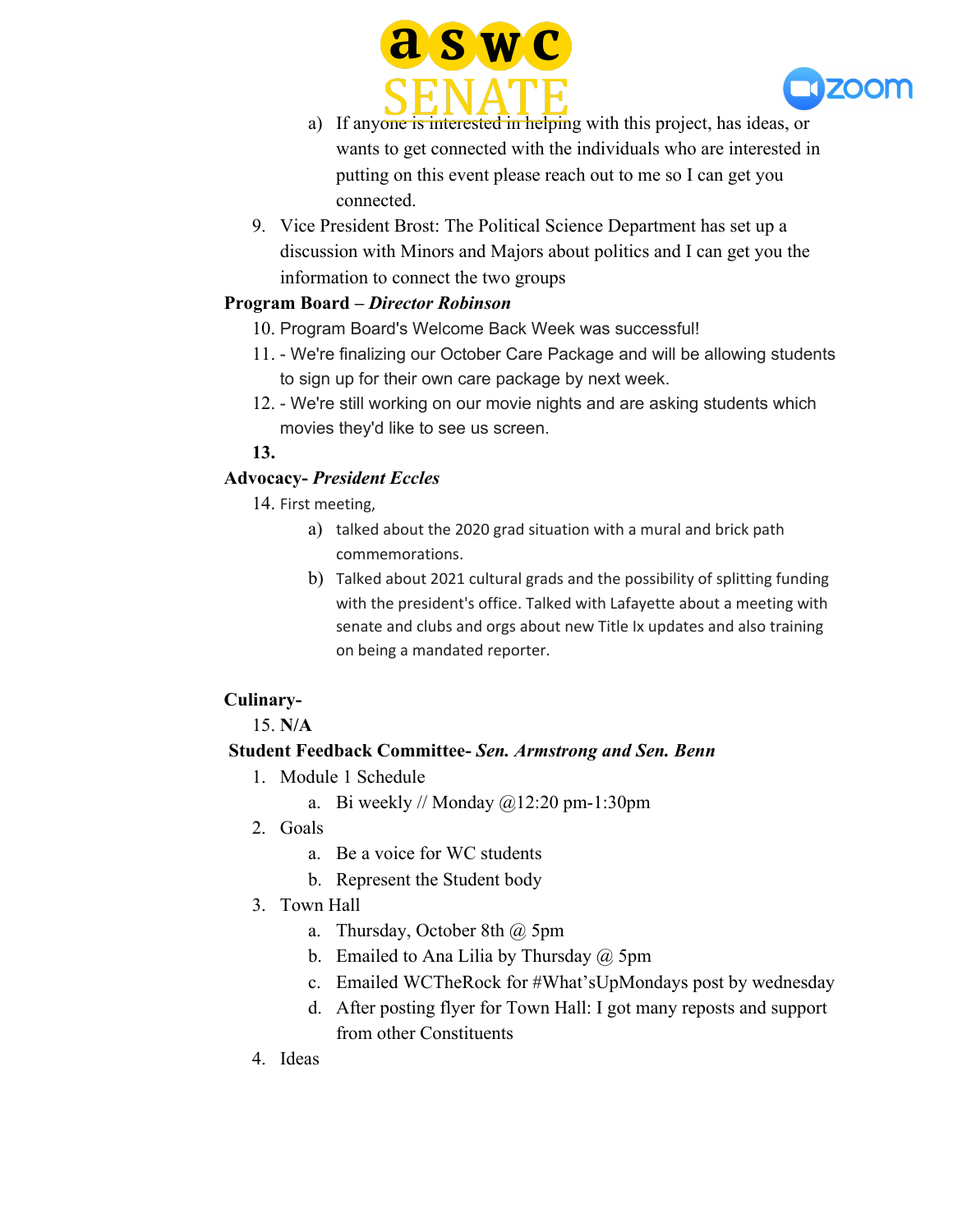



- a) If anyone is interested in helping with this project, has ideas, or wants to get connected with the individuals who are interested in putting on this event please reach out to me so I can get you connected.
- 9. Vice President Brost: The Political Science Department has set up a discussion with Minors and Majors about politics and I can get you the information to connect the two groups

# **Program Board –** *Director Robinson*

- 10. Program Board's Welcome Back Week was successful!
- 11. We're finalizing our October Care Package and will be allowing students to sign up for their own care package by next week.
- 12. We're still working on our movie nights and are asking students which movies they'd like to see us screen.

#### **13.**

# **Advocacy-** *President Eccles*

14. First meeting,

- a) talked about the 2020 grad situation with a mural and brick path commemorations.
- b) Talked about 2021 cultural grads and the possibility of splitting funding with the president's office. Talked with Lafayette about a meeting with senate and clubs and orgs about new Title Ix updates and also training on being a mandated reporter.

## **Culinary-**

15. **N/A**

## **Student Feedback Committee-** *Sen. Armstrong and Sen. Benn*

- 1. Module 1 Schedule
	- a. Bi weekly // Monday  $@12:20$  pm-1:30pm
- 2. Goals
	- a. Be a voice for WC students
	- b. Represent the Student body
- 3. Town Hall
	- a. Thursday, October 8th @ 5pm
	- b. Emailed to Ana Lilia by Thursday  $\omega$  5pm
	- c. Emailed WCTheRock for #What'sUpMondays post by wednesday
	- d. After posting flyer for Town Hall: I got many reposts and support from other Constituents
- 4. Ideas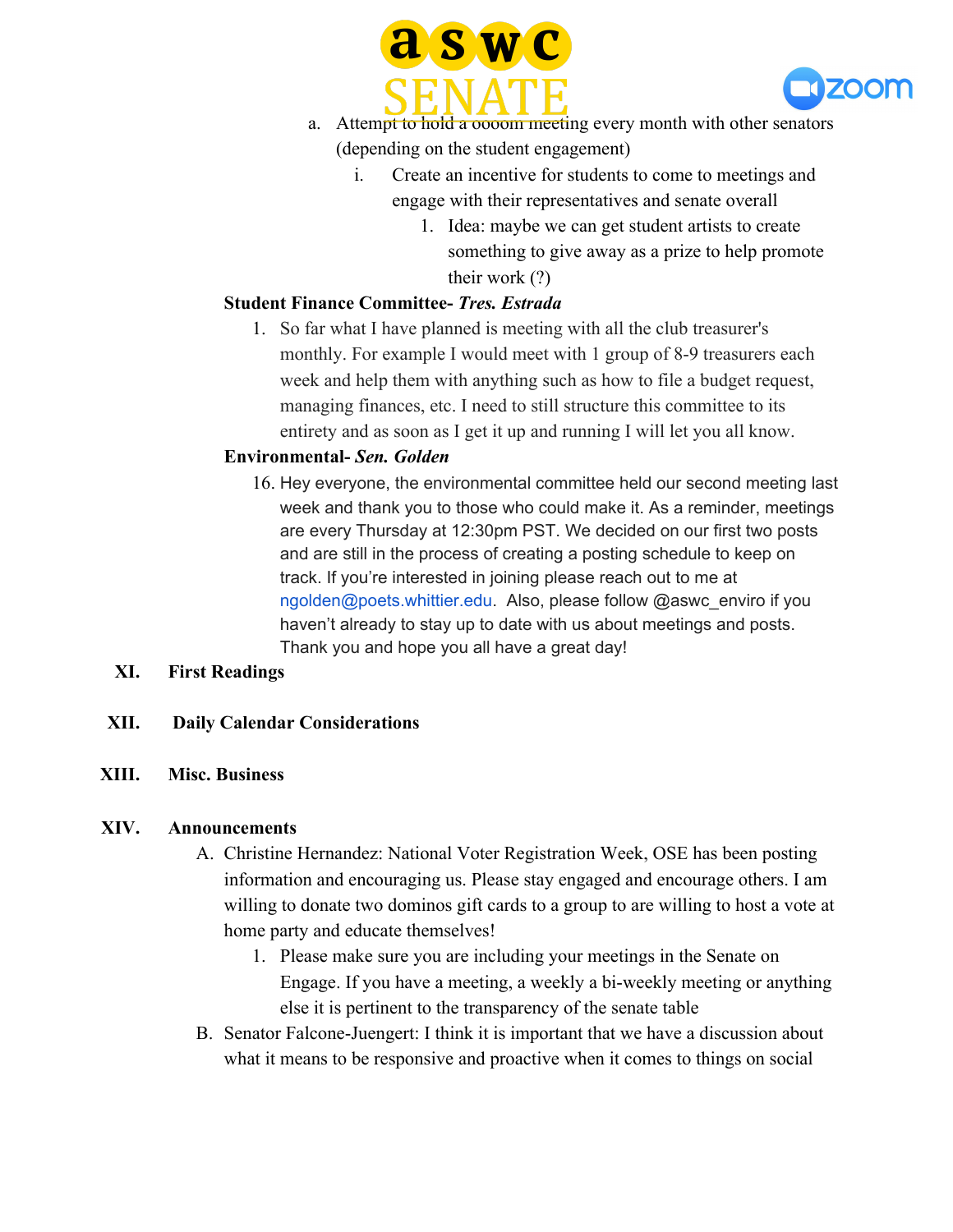



- a. Attempt to hold a oooom meeting every month with other senators (depending on the student engagement)
	- i. Create an incentive for students to come to meetings and engage with their representatives and senate overall
		- 1. Idea: maybe we can get student artists to create something to give away as a prize to help promote their work (?)

# **Student Finance Committee-** *Tres. Estrada*

1. So far what I have planned is meeting with all the club treasurer's monthly. For example I would meet with 1 group of 8-9 treasurers each week and help them with anything such as how to file a budget request, managing finances, etc. I need to still structure this committee to its entirety and as soon as I get it up and running I will let you all know.

## **Environmental-** *Sen. Golden*

16. Hey everyone, the environmental committee held our second meeting last week and thank you to those who could make it. As a reminder, meetings are every Thursday at 12:30pm PST. We decided on our first two posts and are still in the process of creating a posting schedule to keep on track. If you're interested in joining please reach out to me at ngolden@poets.whittier.edu. Also, please follow @aswc\_enviro if you haven't already to stay up to date with us about meetings and posts. Thank you and hope you all have a great day!

## **XI. First Readings**

## **XII. Daily Calendar Considerations**

## **XIII. Misc. Business**

#### **XIV. Announcements**

- A. Christine Hernandez: National Voter Registration Week, OSE has been posting information and encouraging us. Please stay engaged and encourage others. I am willing to donate two dominos gift cards to a group to are willing to host a vote at home party and educate themselves!
	- 1. Please make sure you are including your meetings in the Senate on Engage. If you have a meeting, a weekly a bi-weekly meeting or anything else it is pertinent to the transparency of the senate table
- B. Senator Falcone-Juengert: I think it is important that we have a discussion about what it means to be responsive and proactive when it comes to things on social